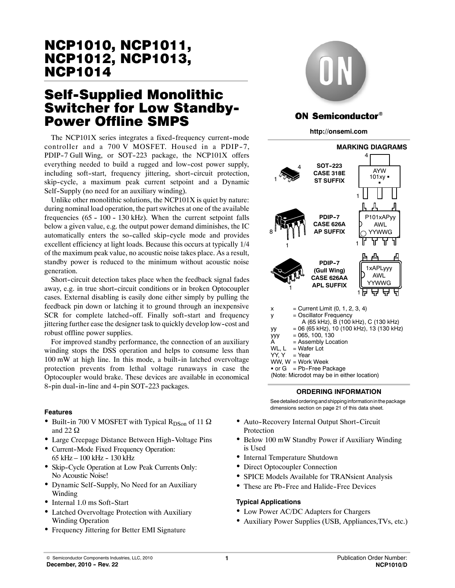# **Self-Supplied Monolithic Switcher for Low Standby-**Power Offline SMPS

The NCP101X series integrates a fixed-frequency current-mode controller and a 700 V MOSFET. Housed in a PDIP-7, PDIP-7 Gull Wing, or SOT-223 package, the NCP101X offers everything needed to build a rugged and low-cost power supply, including soft-start, frequency jittering, short-circuit protection, skip-cycle, a maximum peak current setpoint and a Dynamic Self-Supply (no need for an auxiliary winding).

Unlike other monolithic solutions, the NCP101X is quiet by nature: during nominal load operation, the part switches at one of the available frequencies  $(65 - 100 - 130$  kHz). When the current setpoint falls below a given value, e.g. the output power demand diminishes, the IC automatically enters the so-called skip-cycle mode and provides excellent efficiency at light loads. Because this occurs at typically 1/4 of the maximum peak value, no acoustic noise takes place. As a result, standby power is reduced to the minimum without acoustic noise generation.

Short-circuit detection takes place when the feedback signal fades away, e.g. in true short-circuit conditions or in broken Optocoupler cases. External disabling is easily done either simply by pulling the feedback pin down or latching it to ground through an inexpensive SCR for complete latched-off. Finally soft-start and frequency jittering further ease the designer task to quickly develop low--cost and robust offline power supplies.

For improved standby performance, the connection of an auxiliary winding stops the DSS operation and helps to consume less than  $100$  mW at high line. In this mode, a built-in latched overvoltage protection prevents from lethal voltage runaways in case the Optocoupler would brake. These devices are available in economical 8-pin dual-in-line and 4-pin SOT-223 packages.

### **Features**

- Built-in 700 V MOSFET with Typical R<sub>DSon</sub> of 11  $\Omega$ and 22  $\Omega$
- Large Creepage Distance Between High-Voltage Pins
- Current-Mode Fixed Frequency Operation: 65 kHz -- 100 kHz -- 130 kHz
- Skip-Cycle Operation at Low Peak Currents Only: No Acoustic Noise!
- Dynamic Self-Supply, No Need for an Auxiliary Winding
- Internal 1.0 ms Soft-Start
- Latched Overvoltage Protection with Auxiliary Winding Operation
- Frequency Jittering for Better EMI Signature



# ON Semiconductor®

**http://onsemi.com**



### **ORDERING INFORMATION**

See detailed ordering and shipping informationinthepackage dimensions section on page 21 of this data sheet.

- Auto-Recovery Internal Output Short-Circuit Protection
- Below 100 mW Standby Power if Auxiliary Winding is Used
- Internal Temperature Shutdown
- Direct Optocoupler Connection
- SPICE Models Available for TRANsient Analysis
- These are Pb-Free and Halide-Free Devices

### **Typical Applications**

- Low Power AC/DC Adapters for Chargers
- Auxiliary Power Supplies (USB, Appliances,TVs, etc.)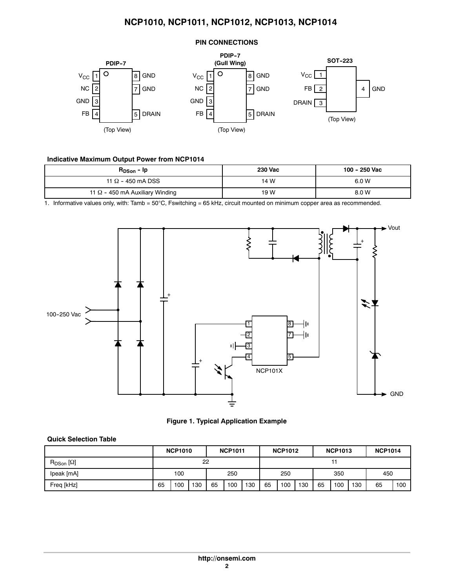### **PIN CONNECTIONS**



### **Indicative Maximum Output Power from NCP1014**

| $R_{DSon}$ - $lp$                      | <b>230 Vac</b> | 100 - 250 Vac |
|----------------------------------------|----------------|---------------|
| 11 $\Omega$ - 450 mA DSS               | 14 W           | 6.0 W         |
| 11 $\Omega$ - 450 mA Auxiliary Winding | 19 W           | 8.0 W         |

1. Informative values only, with: Tamb = 50°C, Fswitching = 65 kHz, circuit mounted on minimum copper area as recommended.



**Figure 1. Typical Application Example**

### **Quick Selection Table**

|                         |     | <b>NCP1010</b> |            |    | <b>NCP1011</b> |     |    | <b>NCP1012</b> |     |    | <b>NCP1013</b> |     | <b>NCP1014</b> |     |
|-------------------------|-----|----------------|------------|----|----------------|-----|----|----------------|-----|----|----------------|-----|----------------|-----|
| $R_{DSon}$ [ $\Omega$ ] | 22  |                |            |    |                |     |    |                |     |    |                |     |                |     |
| Ipeak [mA]              | 100 |                | 250<br>250 |    |                | 350 |    | 450            |     |    |                |     |                |     |
| Freq [kHz]              | 65  | 100            | 130        | 65 | 100            | 130 | 65 | 100            | 130 | 65 | 100            | 130 | 65             | 100 |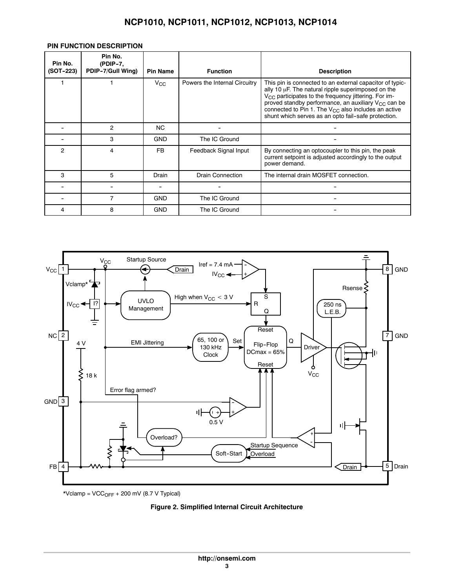### **PIN FUNCTION DESCRIPTION**

| Pin No.<br>(SOT-223) | Pin No.<br>$(PDIP-7,$<br>PDIP-7/Gull Wing) | <b>Pin Name</b> | <b>Function</b>               | <b>Description</b>                                                                                                                                                                                                                                                                                                                                         |
|----------------------|--------------------------------------------|-----------------|-------------------------------|------------------------------------------------------------------------------------------------------------------------------------------------------------------------------------------------------------------------------------------------------------------------------------------------------------------------------------------------------------|
|                      |                                            | $V_{\rm CC}$    | Powers the Internal Circuitry | This pin is connected to an external capacitor of typic-<br>ally 10 µF. The natural ripple superimposed on the<br>$V_{CC}$ participates to the frequency jittering. For im-<br>proved standby performance, an auxiliary $V_{CC}$ can be<br>connected to Pin 1. The $V_{CG}$ also includes an active<br>shunt which serves as an opto fail-safe protection. |
|                      | $\overline{2}$                             | NC.             |                               |                                                                                                                                                                                                                                                                                                                                                            |
|                      | 3                                          | <b>GND</b>      | The IC Ground                 |                                                                                                                                                                                                                                                                                                                                                            |
| 2                    | 4                                          | FB              | Feedback Signal Input         | By connecting an optocoupler to this pin, the peak<br>current setpoint is adjusted accordingly to the output<br>power demand.                                                                                                                                                                                                                              |
| 3                    | 5                                          | Drain           | <b>Drain Connection</b>       | The internal drain MOSFET connection.                                                                                                                                                                                                                                                                                                                      |
|                      |                                            |                 |                               |                                                                                                                                                                                                                                                                                                                                                            |
|                      |                                            | <b>GND</b>      | The IC Ground                 |                                                                                                                                                                                                                                                                                                                                                            |
| 4                    | 8                                          | <b>GND</b>      | The IC Ground                 |                                                                                                                                                                                                                                                                                                                                                            |



 $*$ Vclamp = VCC<sub>OFF</sub> + 200 mV (8.7 V Typical)

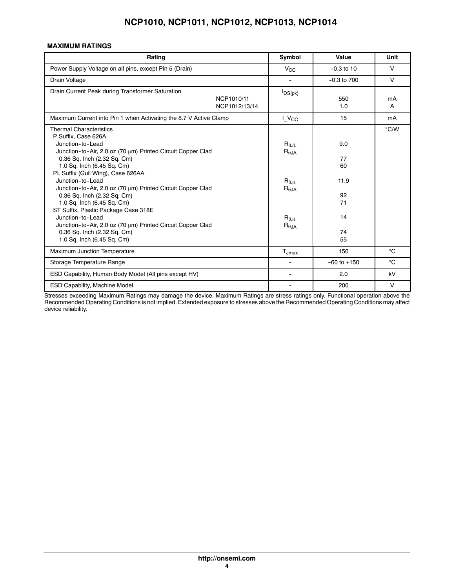### **MAXIMUM RATINGS**

| Rating                                                                                                                                                                                                                                                                                                                                                                                                                                                                                                                                                                             | Symbol                                                                                                                         | Value                                                 | Unit         |
|------------------------------------------------------------------------------------------------------------------------------------------------------------------------------------------------------------------------------------------------------------------------------------------------------------------------------------------------------------------------------------------------------------------------------------------------------------------------------------------------------------------------------------------------------------------------------------|--------------------------------------------------------------------------------------------------------------------------------|-------------------------------------------------------|--------------|
| Power Supply Voltage on all pins, except Pin 5 (Drain)                                                                                                                                                                                                                                                                                                                                                                                                                                                                                                                             | $V_{\rm CC}$                                                                                                                   | $-0.3$ to 10                                          | $\vee$       |
| Drain Voltage                                                                                                                                                                                                                                                                                                                                                                                                                                                                                                                                                                      | $\overline{\phantom{0}}$                                                                                                       | $-0.3$ to $700$                                       | $\vee$       |
| Drain Current Peak during Transformer Saturation<br>NCP1010/11<br>NCP1012/13/14                                                                                                                                                                                                                                                                                                                                                                                                                                                                                                    | $I_{DS(pk)}$                                                                                                                   | 550<br>1.0                                            | mA<br>A      |
| Maximum Current into Pin 1 when Activating the 8.7 V Active Clamp                                                                                                                                                                                                                                                                                                                                                                                                                                                                                                                  | $L$ $V_{CC}$                                                                                                                   | 15                                                    | mA           |
| <b>Thermal Characteristics</b><br>P Suffix. Case 626A<br>Junction-to-Lead<br>Junction-to-Air, 2.0 oz (70 µm) Printed Circuit Copper Clad<br>0.36 Sq. Inch (2.32 Sq. Cm)<br>1.0 Sq. Inch (6.45 Sq. Cm)<br>PL Suffix (Gull Wing), Case 626AA<br>Junction-to-Lead<br>Junction-to-Air, 2.0 oz (70 µm) Printed Circuit Copper Clad<br>0.36 Sq. Inch (2.32 Sq. Cm)<br>1.0 Sq. Inch (6.45 Sq. Cm)<br>ST Suffix, Plastic Package Case 318E<br>Junction-to-Lead<br>Junction-to-Air, 2.0 oz (70 µm) Printed Circuit Copper Clad<br>0.36 Sq. Inch (2.32 Sq. Cm)<br>1.0 Sq. Inch (6.45 Sq. Cm) | $R_{\theta JL}$<br>$R_{0,IA}$<br>$\mathsf{R}_{0,\mathsf{II}}$<br>$R_{\theta,JA}$<br>$R_{\theta JL}$<br>$R_{\theta, \text{JA}}$ | 9.0<br>77<br>60<br>11.9<br>92<br>71<br>14<br>74<br>55 | °C/W         |
| Maximum Junction Temperature                                                                                                                                                                                                                                                                                                                                                                                                                                                                                                                                                       | $T_{Jmax}$                                                                                                                     | 150                                                   | °C           |
| Storage Temperature Range                                                                                                                                                                                                                                                                                                                                                                                                                                                                                                                                                          | ۰                                                                                                                              | $-60$ to $+150$                                       | $^{\circ}$ C |
| ESD Capability, Human Body Model (All pins except HV)                                                                                                                                                                                                                                                                                                                                                                                                                                                                                                                              | -                                                                                                                              | 2.0                                                   | kV           |
| ESD Capability, Machine Model                                                                                                                                                                                                                                                                                                                                                                                                                                                                                                                                                      | $\overline{\phantom{0}}$                                                                                                       | 200                                                   | $\vee$       |

Stresses exceeding Maximum Ratings may damage the device. Maximum Ratings are stress ratings only. Functional operation above the Recommended Operating Conditions is not implied. Extended exposure to stresses above the Recommended Operating Conditions may affect device reliability.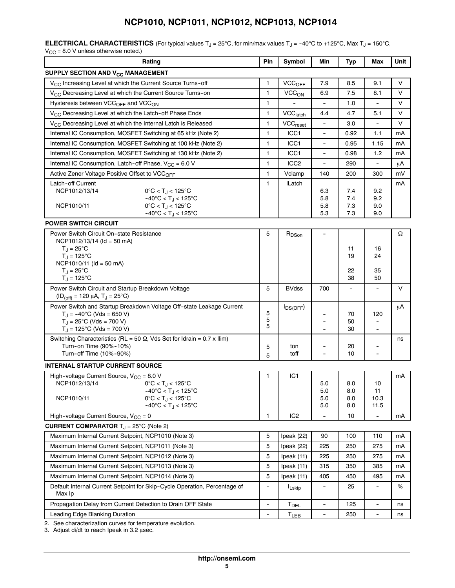**ELECTRICAL CHARACTERISTICS** (For typical values  $T_J = 25^{\circ}$ C, for min/max values  $T_J = -40^{\circ}$ C to +125°C, Max  $T_J = 150^{\circ}$ C,  $V_{\rm CC}$  = 8.0 V unless otherwise noted.)

| Rating                                                                                                                  | Pin | Symbol                     | Min                                 | <b>Typ</b>               | Max                      | Unit   |
|-------------------------------------------------------------------------------------------------------------------------|-----|----------------------------|-------------------------------------|--------------------------|--------------------------|--------|
| SUPPLY SECTION AND V <sub>CC</sub> MANAGEMENT                                                                           |     |                            |                                     |                          |                          |        |
| V <sub>CC</sub> Increasing Level at which the Current Source Turns-off                                                  | 1   | <b>VCC<sub>OFF</sub></b>   | 7.9                                 | 8.5                      | 9.1                      | V      |
| V <sub>CC</sub> Decreasing Level at which the Current Source Turns-on                                                   | 1   | VCC <sub>ON</sub>          | 6.9                                 | 7.5                      | 8.1                      | V      |
| Hysteresis between VCC <sub>OFF</sub> and VCC <sub>ON</sub>                                                             | 1   |                            | -                                   | 1.0                      |                          | $\vee$ |
| V <sub>CC</sub> Decreasing Level at which the Latch-off Phase Ends                                                      | 1   | VCC <sub>latch</sub>       | 4.4                                 | 4.7                      | 5.1                      | $\vee$ |
| V <sub>CC</sub> Decreasing Level at which the Internal Latch is Released                                                | 1   | <b>VCC<sub>reset</sub></b> | $\frac{1}{2}$                       | 3.0                      | -                        | $\vee$ |
| Internal IC Consumption, MOSFET Switching at 65 kHz (Note 2)                                                            | 1   | ICC1                       | $\overline{\phantom{a}}$            | 0.92                     | 1.1                      | mA     |
| Internal IC Consumption, MOSFET Switching at 100 kHz (Note 2)                                                           | 1   | ICC1                       | ۰                                   | 0.95                     | 1.15                     | mA     |
| Internal IC Consumption, MOSFET Switching at 130 kHz (Note 2)                                                           | 1   | ICC1                       | $\overline{\phantom{a}}$            | 0.98                     | 1.2                      | mA     |
| Internal IC Consumption, Latch-off Phase, $V_{CC} = 6.0 V$                                                              | 1   | ICC <sub>2</sub>           | $\qquad \qquad \qquad \blacksquare$ | 290                      | -                        | μA     |
| Active Zener Voltage Positive Offset to VCC <sub>OFF</sub>                                                              | 1   | Vclamp                     | 140                                 | 200                      | 300                      | mV     |
| Latch-off Current                                                                                                       | 1   | <b>ILatch</b>              |                                     |                          |                          | mA     |
| NCP1012/13/14<br>$0^{\circ}$ C < T <sub>J</sub> < 125 $^{\circ}$ C                                                      |     |                            | 6.3                                 | 7.4                      | 9.2                      |        |
| $-40^{\circ}$ C < T <sub>J</sub> < 125 $^{\circ}$ C<br>$0^{\circ}$ C < T <sub>.1</sub> < 125 $^{\circ}$ C<br>NCP1010/11 |     |                            | 5.8<br>5.8                          | 7.4<br>7.3               | 9.2<br>9.0               |        |
| $-40^{\circ}$ C < T <sub>J</sub> < 125°C                                                                                |     |                            | 5.3                                 | 7.3                      | 9.0                      |        |
| <b>POWER SWITCH CIRCUIT</b>                                                                                             |     |                            |                                     |                          |                          |        |
| Power Switch Circuit On-state Resistance                                                                                | 5   | $R_{DSon}$                 |                                     |                          |                          | Ω      |
| $NCP1012/13/14$ (ld = 50 mA)                                                                                            |     |                            |                                     |                          |                          |        |
| $T_J = 25^{\circ}C$                                                                                                     |     |                            |                                     | 11<br>19                 | 16<br>24                 |        |
| $T_{\rm J}$ = 125°C<br>$NCP1010/11$ (ld = 50 mA)                                                                        |     |                            |                                     |                          |                          |        |
| $T_{\rm J}$ = 25°C                                                                                                      |     |                            |                                     | 22                       | 35                       |        |
| $T_J = 125$ °C                                                                                                          |     |                            |                                     | 38                       | 50                       |        |
| Power Switch Circuit and Startup Breakdown Voltage                                                                      | 5   | <b>BVdss</b>               | 700                                 | $\overline{\phantom{a}}$ | $\overline{\phantom{0}}$ | $\vee$ |
| $(ID_{(off)} = 120 \mu A, T_J = 25^{\circ}C)$                                                                           |     |                            |                                     |                          |                          |        |
| Power Switch and Startup Breakdown Voltage Off-state Leakage Current                                                    | 5   | $I_{DS(OFF)}$              |                                     | 70                       | 120                      | μA     |
| $T_J = -40^{\circ}C$ (Vds = 650 V)<br>$T_{\rm J}$ = 25°C (Vds = 700 V)                                                  | 5   |                            |                                     | 50                       |                          |        |
| $T_J = 125^{\circ}C$ (Vds = 700 V)                                                                                      | 5   |                            | $\ddot{\phantom{0}}$                | 30                       | ۰                        |        |
| Switching Characteristics (RL = 50 $\Omega$ , Vds Set for Idrain = 0.7 x Ilim)                                          |     |                            |                                     |                          |                          | ns     |
| Turn-on Time (90%-10%)                                                                                                  | 5   | ton<br>toff                | $\ddot{\phantom{1}}$                | 20<br>10                 | $\ddot{\phantom{1}}$     |        |
| Turn-off Time (10%-90%)                                                                                                 | 5   |                            |                                     |                          |                          |        |
| <b>INTERNAL STARTUP CURRENT SOURCE</b>                                                                                  |     |                            |                                     |                          |                          |        |
| High-voltage Current Source, $V_{CC} = 8.0 V$<br>NCP1012/13/14<br>$0^{\circ}$ C < T <sub>.1</sub> < 125 $^{\circ}$ C    | 1   | IC <sub>1</sub>            | 5.0                                 | 8.0                      | 10                       | mA     |
| $-40^{\circ}$ C < T <sub>J</sub> < 125 $^{\circ}$ C                                                                     |     |                            | 5.0                                 | 8.0                      | 11                       |        |
| NCP1010/11<br>$0^{\circ}$ C < T <sub>J</sub> < 125 $^{\circ}$ C                                                         |     |                            | 5.0                                 | 8.0                      | 10.3                     |        |
| $-40^{\circ}$ C < T <sub>J</sub> < 125 $^{\circ}$ C                                                                     |     |                            | 5.0                                 | 8.0                      | 11.5                     |        |
| High-voltage Current Source, $V_{CC} = 0$                                                                               | 1   | IC <sub>2</sub>            |                                     | 10                       |                          | mA     |
| <b>CURRENT COMPARATOR</b> $T_J = 25^{\circ}$ C (Note 2)                                                                 |     |                            |                                     |                          |                          |        |
| Maximum Internal Current Setpoint, NCP1010 (Note 3)                                                                     | 5   | Ipeak (22)                 | 90                                  | 100                      | 110                      | mA     |
| Maximum Internal Current Setpoint, NCP1011 (Note 3)                                                                     | 5   | Ipeak (22)                 | 225                                 | 250                      | 275                      | mA     |
| Maximum Internal Current Setpoint, NCP1012 (Note 3)                                                                     | 5   | Ipeak (11)                 | 225                                 | 250                      | 275                      | mA     |
| Maximum Internal Current Setpoint, NCP1013 (Note 3)                                                                     | 5   | Ipeak (11)                 | 315                                 | 350                      | 385                      | mA     |
| Maximum Internal Current Setpoint, NCP1014 (Note 3)                                                                     | 5   | Ipeak (11)                 | 405                                 | 450                      | 495                      | mA     |
| Default Internal Current Setpoint for Skip-Cycle Operation, Percentage of<br>Max Ip                                     |     | <b>ILskip</b>              |                                     | 25                       |                          | $\%$   |
| Propagation Delay from Current Detection to Drain OFF State                                                             | -   | T <sub>DEL</sub>           | -                                   | 125                      |                          | ns     |
| Leading Edge Blanking Duration                                                                                          | -   | T <sub>LEB</sub>           | $\overline{\phantom{a}}$            | 250                      | $\overline{\phantom{a}}$ | ns     |
|                                                                                                                         |     |                            |                                     |                          |                          |        |

2. See characterization curves for temperature evolution.

3. Adjust di/dt to reach Ipeak in  $3.2 \mu sec$ .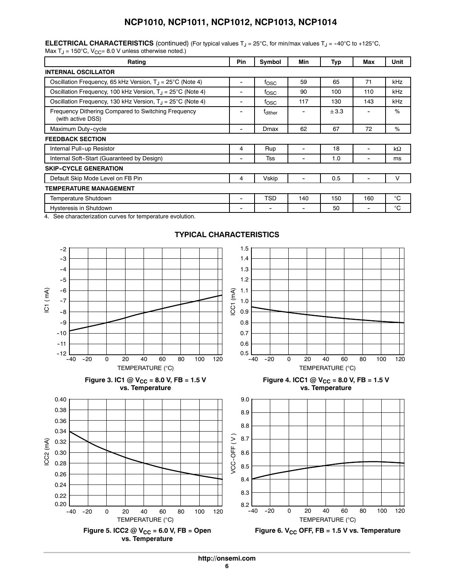| <b>ELECTRICAL CHARACTERISTICS</b> (continued) (For typical values $T_J = 25^{\circ}C$ , for min/max values $T_J = -40^{\circ}C$ to +125°C, |  |  |
|--------------------------------------------------------------------------------------------------------------------------------------------|--|--|
| Max T <sub>J</sub> = 150°C, $V_{CC}$ = 8.0 V unless otherwise noted.)                                                                      |  |  |

| Rating                                                                   | <b>Pin</b> | Symbol              | Min | Typ   | Max | Unit         |
|--------------------------------------------------------------------------|------------|---------------------|-----|-------|-----|--------------|
| <b>INTERNAL OSCILLATOR</b>                                               |            |                     |     |       |     |              |
| Oscillation Frequency, 65 kHz Version, $T_{\rm J}$ = 25°C (Note 4)       | -          | fosc                | 59  | 65    | 71  | kHz          |
| Oscillation Frequency, 100 kHz Version, T <sub>J</sub> = 25°C (Note 4)   | -          | tosc                | 90  | 100   | 110 | kHz          |
| Oscillation Frequency, 130 kHz Version, $T_{\rm J}$ = 25°C (Note 4)      |            | tosc                | 117 | 130   | 143 | kHz          |
| Frequency Dithering Compared to Switching Frequency<br>(with active DSS) |            | <sup>T</sup> dither |     | ± 3.3 |     | %            |
| Maximum Duty-cycle                                                       | -          | Dmax                | 62  | 67    | 72  | %            |
| <b>FEEDBACK SECTION</b>                                                  |            |                     |     |       |     |              |
| Internal Pull-up Resistor                                                | 4          | Rup                 |     | 18    |     | kΩ           |
| Internal Soft-Start (Guaranteed by Design)                               | -          | Tss                 |     | 1.0   | ۰   | ms           |
| <b>SKIP-CYCLE GENERATION</b>                                             |            |                     |     |       |     |              |
| Default Skip Mode Level on FB Pin                                        | 4          | Vskip               |     | 0.5   |     | V            |
| TEMPERATURE MANAGEMENT                                                   |            |                     |     |       |     |              |
| Temperature Shutdown                                                     |            | <b>TSD</b>          | 140 | 150   | 160 | $^{\circ}$ C |
| Hysteresis in Shutdown                                                   | ۰          | -                   | ۰   | 50    | -   | $^{\circ}C$  |

4. See characterization curves for temperature evolution.



### **TYPICAL CHARACTERISTICS**

**http://onsemi.com**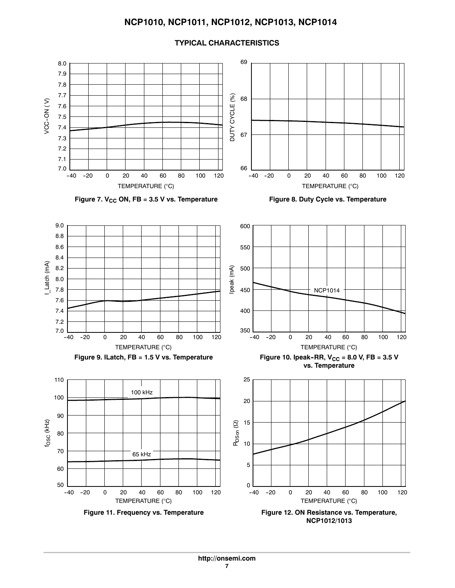

### **TYPICAL CHARACTERISTICS**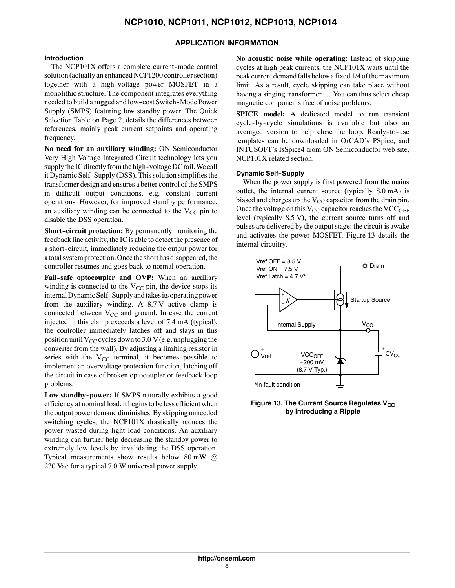# **APPLICATION INFORMATION**

### **Introduction**

The NCP101X offers a complete current-mode control solution (actually an enhanced NCP1200 controller section) together with a high--voltage power MOSFET in a monolithic structure. The component integrates everything needed to build a rugged and low-cost Switch-Mode Power Supply (SMPS) featuring low standby power. The Quick Selection Table on Page 2, details the differences between references, mainly peak current setpoints and operating frequency.

**No need for an auxiliary winding:** ON Semiconductor Very High Voltage Integrated Circuit technology lets you supply the IC directly from the high-voltage DC rail. We call it Dynamic Self-Supply (DSS). This solution simplifies the transformer design and ensures a better control of the SMPS in difficult output conditions, e.g. constant current operations. However, for improved standby performance, an auxiliary winding can be connected to the  $V_{CC}$  pin to disable the DSS operation.

**Short-circuit protection:** By permanently monitoring the feedback line activity, the IC is able to detect the presence of a short-circuit, immediately reducing the output power for a total system protection. Once the short has disappeared, the controller resumes and goes back to normal operation.

**Fail--safe optocoupler and OVP:** When an auxiliary winding is connected to the  $V_{CC}$  pin, the device stops its internal Dynamic Self-Supply and takes its operating power from the auxiliary winding. A 8.7 V active clamp is connected between  $V_{CC}$  and ground. In case the current injected in this clamp exceeds a level of 7.4 mA (typical), the controller immediately latches off and stays in this position until  $V_{CC}$  cycles down to 3.0 V (e.g. unplugging the converter from the wall). By adjusting a limiting resistor in series with the  $V_{CC}$  terminal, it becomes possible to implement an overvoltage protection function, latching off the circuit in case of broken optocoupler or feedback loop problems.

Low standby-power: If SMPS naturally exhibits a good efficiency at nominal load, it begins to be less efficient when the output power demand diminishes.By skipping unneeded switching cycles, the NCP101X drastically reduces the power wasted during light load conditions. An auxiliary winding can further help decreasing the standby power to extremely low levels by invalidating the DSS operation. Typical measurements show results below 80 mW @ 230 Vac for a typical 7.0 W universal power supply.

**No acoustic noise while operating:** Instead of skipping cycles at high peak currents, the NCP101X waits until the peak current demand falls below a fixed 1/4 of the maximum limit. As a result, cycle skipping can take place without having a singing transformer ... You can thus select cheap magnetic components free of noise problems.

**SPICE model:** A dedicated model to run transient cycle-by-cycle simulations is available but also an averaged version to help close the loop. Ready-to-use templates can be downloaded in OrCAD's PSpice, and INTUSOFT's IsSpice4 from ON Semiconductor web site, NCP101X related section.

### **Dynamic Self--Supply**

When the power supply is first powered from the mains outlet, the internal current source (typically 8.0 mA) is biased and charges up the  $V_{CC}$  capacitor from the drain pin. Once the voltage on this  $V_{CC}$  capacitor reaches the VCC<sub>OFF</sub> level (typically 8.5 V), the current source turns off and pulses are delivered by the output stage: the circuit is awake and activates the power MOSFET. Figure 13 details the internal circuitry.



**Figure 13. The Current Source Regulates V<sub>CC</sub> by Introducing a Ripple**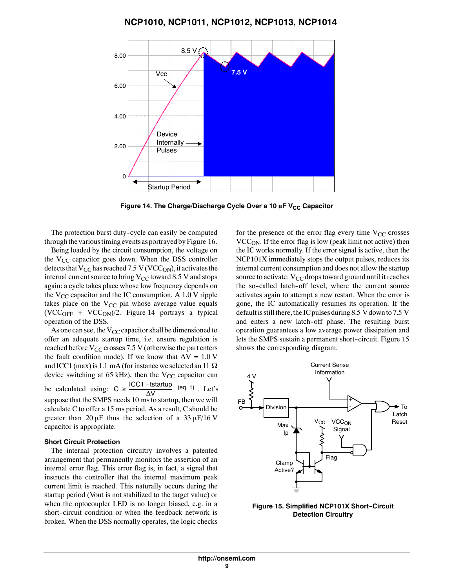

Figure 14. The Charge/Discharge Cycle Over a 10 µF V<sub>CC</sub> Capacitor

The protection burst duty-cycle can easily be computed through the various timing events as portrayed by Figure 16.

Being loaded by the circuit consumption, the voltage on the  $V_{CC}$  capacitor goes down. When the DSS controller detects that V<sub>CC</sub> has reached 7.5 V (VCC<sub>ON</sub>), it activates the internal current source to bring  $V_{CC}$  toward 8.5 V and stops again: a cycle takes place whose low frequency depends on the  $V_{CC}$  capacitor and the IC consumption. A 1.0 V ripple takes place on the  $V_{CC}$  pin whose average value equals  $(VCC<sub>OFF</sub> + VCC<sub>ON</sub>)/2$ . Figure 14 portrays a typical operation of the DSS.

As one can see, the  $V_{CC}$  capacitor shall be dimensioned to offer an adequate startup time, i.e. ensure regulation is reached before  $V_{CC}$  crosses 7.5 V (otherwise the part enters the fault condition mode). If we know that  $\Delta V = 1.0 V$ and ICC1 (max) is 1.1 mA (for instance we selected an 11  $\Omega$ device switching at 65 kHz), then the  $V_{CC}$  capacitor can be calculated using:  $C \geq \frac{\text{ICC1} \cdot \text{tstartup}}{\Delta V}$  (eq. 1). Let's suppose that the SMPS needs 10 ms to startup, then we will calculate C to offer a 15 ms period. As a result, C should be greater than 20  $\mu$ F thus the selection of a 33  $\mu$ F/16 V capacitor is appropriate.

#### **Short Circuit Protection**

The internal protection circuitry involves a patented arrangement that permanently monitors the assertion of an internal error flag. This error flag is, in fact, a signal that instructs the controller that the internal maximum peak current limit is reached. This naturally occurs during the startup period (Vout is not stabilized to the target value) or when the optocoupler LED is no longer biased, e.g. in a short-circuit condition or when the feedback network is broken. When the DSS normally operates, the logic checks

for the presence of the error flag every time  $V_{CC}$  crosses  $VCC<sub>ON</sub>$ . If the error flag is low (peak limit not active) then the IC works normally. If the error signal is active, then the NCP101X immediately stops the output pulses, reduces its internal current consumption and does not allow the startup source to activate:  $V_{CC}$  drops toward ground until it reaches the so-called latch-off level, where the current source activates again to attempt a new restart. When the error is gone, the IC automatically resumes its operation. If the default is still there, the IC pulses during 8.5 V down to 7.5 V and enters a new latch-off phase. The resulting burst operation guarantees a low average power dissipation and lets the SMPS sustain a permanent short-circuit. Figure 15 shows the corresponding diagram.



**Figure 15. Simplified NCP101X Short-Circuit Detection Circuitry**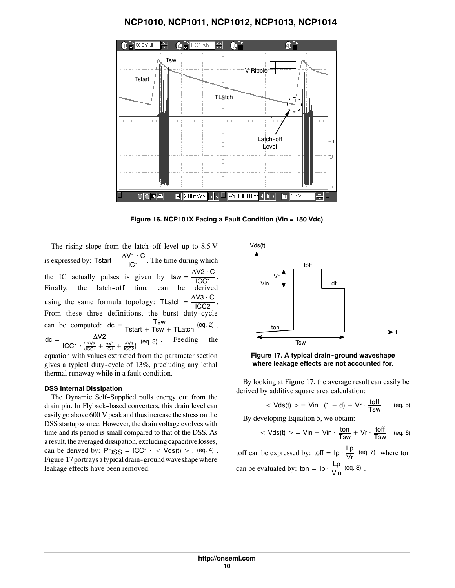

**Figure 16. NCP101X Facing a Fault Condition (Vin = 150 Vdc)**

The rising slope from the latch-off level up to  $8.5$  V is expressed by: Tstart =  $\frac{\Delta V1 \cdot C}{|C1|}$ . The time during which the IC actually pulses is given by  $\tan \frac{\Delta V2 \cdot C}{\text{ICC1}}$ . Finally, the latch-off time can be derived using the same formula topology: TLatch =  $\frac{\Delta V3 \cdot C}{\text{ICC2}}$ . From these three definitions, the burst duty-cycle can be computed:  $dc = \frac{Tsw}{Tstat + Tsw + TLatch}$  (eq. 2).  $\text{dc} = \frac{\Delta V2}{1004 \left(\frac{\Delta V^2}{V}\right)^2}$  $\frac{\Delta VZ}{\text{ICC1} + (\frac{\Delta VZ}{\text{ICC1}} + \frac{\Delta V1}{\text{OC1}} + \frac{\Delta V3}{\text{ICC2}})}$  (eq. 3). Feeding the equation with values extracted from the parameter section

gives a typical duty-cycle of  $13\%$ , precluding any lethal thermal runaway while in a fault condition.

#### **DSS Internal Dissipation**

The Dynamic Self-Supplied pulls energy out from the drain pin. In Flyback-based converters, this drain level can easily go above 600 V peak and thus increase the stress on the DSS startup source. However, the drain voltage evolves with time and its period is small compared to that of the DSS. As a result, the averaged dissipation, excluding capacitivelosses, can be derived by:  $PDSS = ICC1 \cdot \langle Vds(t) \rangle$ . (eq. 4). Figure 17 portrays a typical drain-ground waveshape where leakage effects have been removed.



**Figure 17. A typical drain-ground waveshape where leakage effects are not accounted for.**

By looking at Figure 17, the average result can easily be derived by additive square area calculation:

$$
\langle Vds(t) \rangle = V\text{in} \cdot (1-d) + V\text{r} \cdot \frac{\text{toff}}{\text{Tsw}} \qquad \text{(eq. 5)}
$$

By developing Equation 5, we obtain:

$$
\langle Vds(t) \rangle = V\sin - V\sin \cdot \frac{\tan}{Tsw} + Vr \cdot \frac{\text{toff}}{Tsw} \quad \text{(eq. 6)}
$$

toff can be expressed by: toff =  $lp \cdot \frac{Lp}{Vr}$  (eq. 7) where ton can be evaluated by: ton =  $lp \cdot \frac{Lp}{Vin}$  (eq. 8).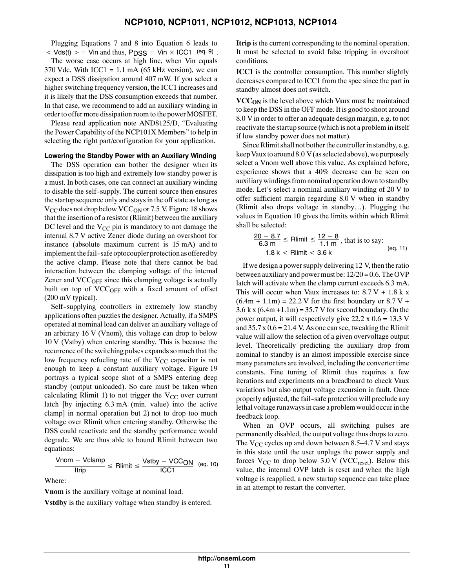Plugging Equations 7 and 8 into Equation 6 leads to  $\langle \nabla \cdot \nabla \cdot \nabla \cdot \nabla \cdot \nabla \cdot \nabla \cdot \nabla \cdot \nabla \cdot \nabla \cdot \nabla \cdot \nabla \cdot \nabla \cdot \nabla \cdot \nabla \cdot \nabla \cdot \nabla \cdot \nabla \cdot \nabla \cdot \nabla \cdot \nabla \cdot \nabla \cdot \nabla \cdot \nabla \cdot \nabla \cdot \nabla \cdot \nabla \cdot \nabla \cdot \nabla \cdot \nabla \cdot \nabla \cdot \nabla \cdot \nabla \cdot \nabla \cdot \nabla \cdot \nabla \cdot \nabla \cdot \n$ 

The worse case occurs at high line, when Vin equals 370 Vdc. With ICC1 =  $1.1 \text{ mA}$  (65 kHz version), we can expect a DSS dissipation around 407 mW. If you select a higher switching frequency version, the ICC1 increases and it is likely that the DSS consumption exceeds that number. In that case, we recommend to add an auxiliary winding in order to offer more dissipation room to the power MOSFET.

Please read application note AND8125/D, "Evaluating the Power Capability of the NCP101X Members" to help in selecting the right part/configuration for your application.

### **Lowering the Standby Power with an Auxiliary Winding**

The DSS operation can bother the designer when its dissipation is too high and extremely low standby power is a must. In both cases, one can connect an auxiliary winding to disable the self--supply. The current source then ensures the startup sequence only and stays in the off state as long as  $V_{CC}$  does not drop below  $VCC_{ON}$  or 7.5 V. Figure 18 shows that the insertion of a resistor (Rlimit) between the auxiliary DC level and the  $V_{CC}$  pin is mandatory to not damage the internal 8.7 V active Zener diode during an overshoot for instance (absolute maximum current is 15 mA) and to implement the fail-safe optocoupler protection as offered by the active clamp. Please note that there cannot be bad interaction between the clamping voltage of the internal Zener and  $\text{VCC}_{\text{OFF}}$  since this clamping voltage is actually built on top of VCC<sub>OFF</sub> with a fixed amount of offset (200 mV typical).

Self--supplying controllers in extremely low standby applications often puzzles the designer. Actually, if a SMPS operated at nominal load can deliver an auxiliary voltage of an arbitrary 16 V (Vnom), this voltage can drop to below 10 V (Vstby) when entering standby. This is because the recurrence of the switching pulses expands so much that the low frequency refueling rate of the  $V_{CC}$  capacitor is not enough to keep a constant auxiliary voltage. Figure 19 portrays a typical scope shot of a SMPS entering deep standby (output unloaded). So care must be taken when calculating Rlimit 1) to not trigger the  $V_{CC}$  over current latch [by injecting 6.3 mA (min. value) into the active clamp] in normal operation but 2) not to drop too much voltage over Rlimit when entering standby. Otherwise the DSS could reactivate and the standby performance would degrade. We are thus able to bound Rlimit between two equations:

$$
\frac{\text{Vnom} - \text{Vclamp}}{\text{ltrip}} \leq \text{Rlimit} \leq \frac{\text{Vstby} - \text{VCCON}}{\text{ICC1}} \quad \text{(eq. 10)}
$$

Where:

**Vnom** is the auxiliary voltage at nominal load.

**Vstdby** is the auxiliary voltage when standby is entered.

**Itrip** is the current corresponding to the nominal operation. It must be selected to avoid false tripping in overshoot conditions.

**ICC1** is the controller consumption. This number slightly decreases compared to ICC1 from the spec since the part in standby almost does not switch.

**VCC<sub>ON</sub>** is the level above which Vaux must be maintained to keep the DSS in the OFF mode. It is good to shoot around 8.0 V in order to offer an adequate design margin, e.g. to not reactivate the startup source (which is not a problem in itself if low standby power does not matter).

Since Rlimit shall not bother the controller in standby, e.g. keep Vaux to around  $8.0 \text{ V}$  (as selected above), we purposely select a Vnom well above this value. As explained before, experience shows that a 40% decrease can be seen on auxiliary windings from nominal operation down to standby mode. Let's select a nominal auxiliary winding of 20 V to offer sufficient margin regarding 8.0 V when in standby (Rlimit also drops voltage in standby...). Plugging the values in Equation 10 gives the limits within which Rlimit shall be selected:

$$
\frac{20 - 8.7}{6.3 \text{ m}} \le \text{Rlimit} \le \frac{12 - 8}{1.1 \text{ m}}, \text{that is to say:}
$$
  
1.8 k < Rlimit < 3.6 k (eq. 11)

If we design a power supply delivering 12 V, then the ratio between auxiliary and power must be:  $12/20 = 0.6$ . The OVP latch will activate when the clamp current exceeds 6.3 mA. This will occur when Vaux increases to:  $8.7 V + 1.8 k x$  $(6.4m + 1.1m) = 22.2 V$  for the first boundary or  $8.7 V +$  $3.6$  k x  $(6.4m + 1.1m) = 35.7$  V for second boundary. On the power output, it will respectively give  $22.2 \times 0.6 = 13.3 \text{ V}$ and  $35.7 \times 0.6 = 21.4$  V. As one can see, tweaking the Rlimit value will allow the selection of a given overvoltage output level. Theoretically predicting the auxiliary drop from nominal to standby is an almost impossible exercise since many parameters are involved, including the converter time constants. Fine tuning of Rlimit thus requires a few iterations and experiments on a breadboard to check Vaux variations but also output voltage excursion in fault. Once properly adjusted, the fail--safe protection will preclude any lethal voltage runaways in case a problem would occur in the feedback loop.

When an OVP occurs, all switching pulses are permanently disabled, the output voltage thus drops to zero. The  $V_{CC}$  cycles up and down between 8.5–4.7 V and stays in this state until the user unplugs the power supply and forces  $V_{CC}$  to drop below 3.0 V (VCC<sub>reset</sub>). Below this value, the internal OVP latch is reset and when the high voltage is reapplied, a new startup sequence can take place in an attempt to restart the converter.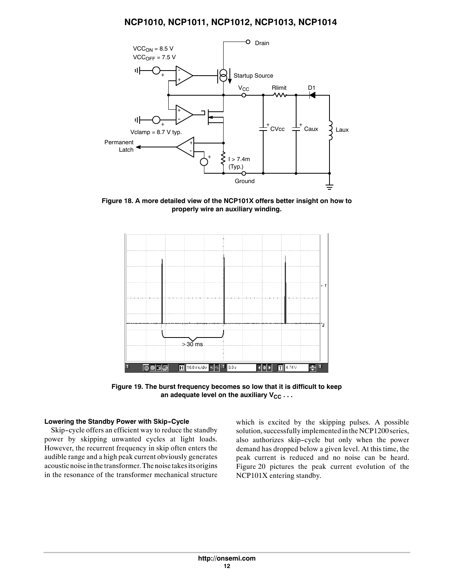

**Figure 18. A more detailed view of the NCP101X offers better insight on how to properly wire an auxiliary winding.**



**Figure 19. The burst frequency becomes so low that it is difficult to keep** an adequate level on the auxiliary V<sub>CC</sub> . . .

### **Lowering the Standby Power with Skip-Cycle**

Skip-cycle offers an efficient way to reduce the standby power by skipping unwanted cycles at light loads. However, the recurrent frequency in skip often enters the audible range and a high peak current obviously generates acoustic noise in the transformer. The noise takes its origins in the resonance of the transformer mechanical structure which is excited by the skipping pulses. A possible solution, successfully implemented in the NCP1200 series, also authorizes skip-cycle but only when the power demand has dropped below a given level. At this time, the peak current is reduced and no noise can be heard. Figure 20 pictures the peak current evolution of the NCP101X entering standby.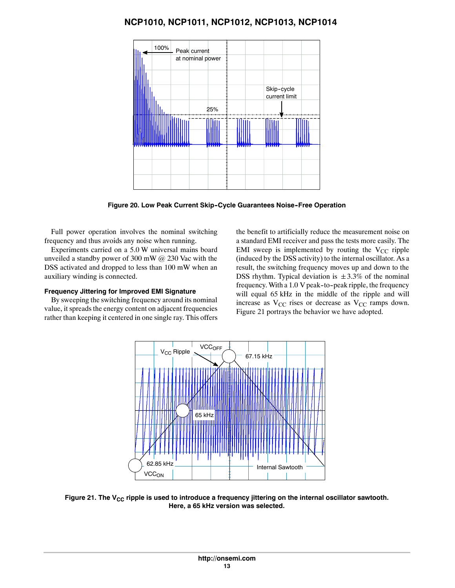

**Figure 20. Low Peak Current Skip-Cycle Guarantees Noise-Free Operation** 

Full power operation involves the nominal switching frequency and thus avoids any noise when running.

Experiments carried on a 5.0 W universal mains board unveiled a standby power of 300 mW @ 230 Vac with the DSS activated and dropped to less than 100 mW when an auxiliary winding is connected.

### **Frequency Jittering for Improved EMI Signature**

By sweeping the switching frequency around its nominal value, it spreads the energy content on adjacent frequencies rather than keeping it centered in one single ray. This offers the benefit to artificially reduce the measurement noise on a standard EMI receiver and pass the tests more easily. The EMI sweep is implemented by routing the  $V_{CC}$  ripple (induced by the DSS activity) to the internal oscillator. As a result, the switching frequency moves up and down to the DSS rhythm. Typical deviation is  $\pm 3.3\%$  of the nominal frequency. With a 1.0 V peak-to-peak ripple, the frequency will equal 65 kHz in the middle of the ripple and will increase as  $V_{CC}$  rises or decrease as  $V_{CC}$  ramps down. Figure 21 portrays the behavior we have adopted.



Figure 21. The V<sub>CC</sub> ripple is used to introduce a frequency jittering on the internal oscillator sawtooth. **Here, a 65 kHz version was selected.**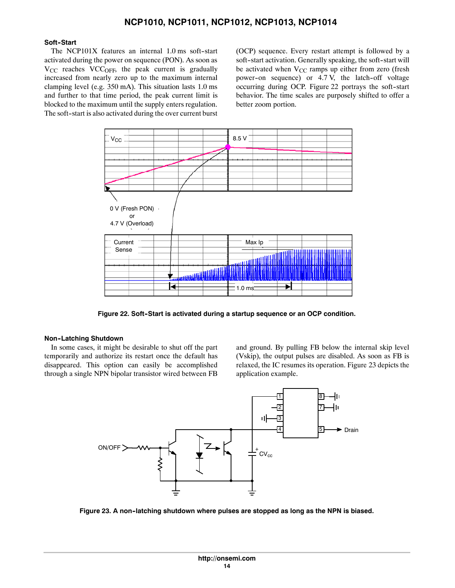### Soft-Start

The NCP101X features an internal  $1.0$  ms soft-start activated during the power on sequence (PON). As soon as V<sub>CC</sub> reaches VCC<sub>OFF</sub>, the peak current is gradually increased from nearly zero up to the maximum internal clamping level (e.g. 350 mA). This situation lasts 1.0 ms and further to that time period, the peak current limit is blocked to the maximum until the supply enters regulation. The soft-start is also activated during the over current burst (OCP) sequence. Every restart attempt is followed by a soft-start activation. Generally speaking, the soft-start will be activated when  $V_{CC}$  ramps up either from zero (fresh power-on sequence) or 4.7 V, the latch-off voltage occurring during OCP. Figure 22 portrays the soft-start behavior. The time scales are purposely shifted to offer a better zoom portion.



Figure 22. Soft-Start is activated during a startup sequence or an OCP condition.

### **Non--Latching Shutdown**

In some cases, it might be desirable to shut off the part temporarily and authorize its restart once the default has disappeared. This option can easily be accomplished through a single NPN bipolar transistor wired between FB and ground. By pulling FB below the internal skip level (Vskip), the output pulses are disabled. As soon as FB is relaxed, the IC resumes its operation. Figure 23 depicts the application example.



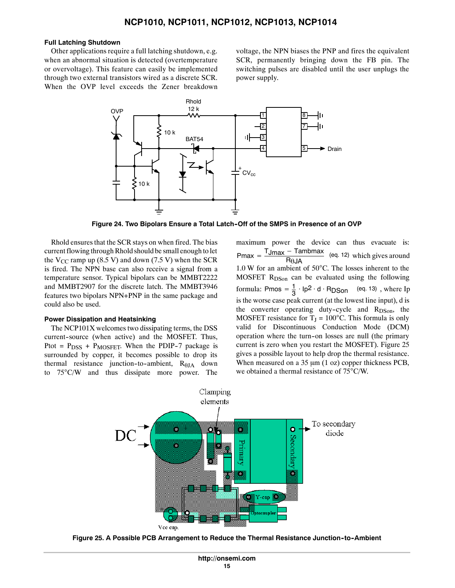### **Full Latching Shutdown**

Other applications require a full latching shutdown, e.g. when an abnormal situation is detected (overtemperature or overvoltage). This feature can easily be implemented through two external transistors wired as a discrete SCR. When the OVP level exceeds the Zener breakdown

voltage, the NPN biases the PNP and fires the equivalent SCR, permanently bringing down the FB pin. The switching pulses are disabled until the user unplugs the power supply.



**Figure 24. Two Bipolars Ensure a Total Latch--Off of the SMPS in Presence of an OVP**

Rhold ensures that the SCR stays on when fired. The bias current flowing through Rhold should be small enough to let the  $V_{CC}$  ramp up (8.5 V) and down (7.5 V) when the SCR is fired. The NPN base can also receive a signal from a temperature sensor. Typical bipolars can be MMBT2222 and MMBT2907 for the discrete latch. The MMBT3946 features two bipolars NPN+PNP in the same package and could also be used.

### **Power Dissipation and Heatsinking**

The NCP101X welcomes two dissipating terms, the DSS current-source (when active) and the MOSFET. Thus, Ptot =  $P_{DSS}$  +  $P_{MOSFET}$ . When the PDIP-7 package is surrounded by copper, it becomes possible to drop its thermal resistance junction-to-ambient,  $R_{\theta JA}$  down to  $75^{\circ}$ C/W and thus dissipate more power. The maximum power the device can thus evacuate is:  $Pmax = \frac{T_{Jmax} - T_{\text{ambmax}}}{R_{\theta J}A}$  (eq. 12) which gives around  $1.0$  W for an ambient of  $50^{\circ}$ C. The losses inherent to the MOSFET R<sub>DSon</sub> can be evaluated using the following formula: Pmos =  $\frac{1}{3} \cdot lp^2 \cdot d \cdot RDSon$  (eq. 13), where Ip is the worse case peak current (at the lowest line input), d is the converter operating duty-cycle and  $R_{DSon}$ , the MOSFET resistance for  $T_J = 100^{\circ}$ C. This formula is only valid for Discontinuous Conduction Mode (DCM) operation where the turn--on losses are null (the primary current is zero when you restart the MOSFET). Figure 25 gives a possible layout to help drop the thermal resistance. When measured on a  $35 \mu m$  (1 oz) copper thickness PCB, we obtained a thermal resistance of  $75^{\circ}$ C/W.



**Figure 25. A Possible PCB Arrangement to Reduce the Thermal Resistance Junction--to--Ambient**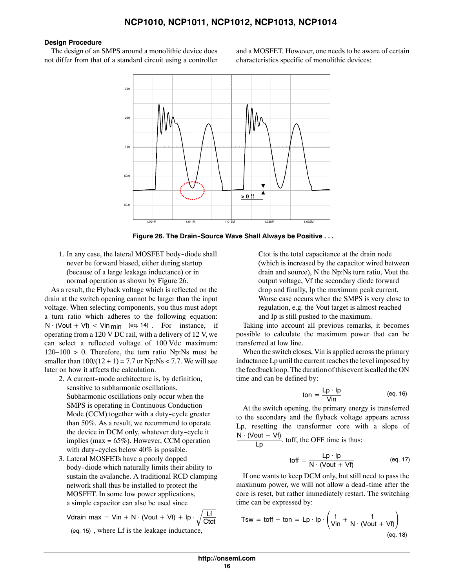#### **Design Procedure**

The design of an SMPS around a monolithic device does not differ from that of a standard circuit using a controller and a MOSFET. However, one needs to be aware of certain characteristics specific of monolithic devices:



**Figure 26. The Drain--Source Wave Shall Always be Positive . . .**

1. In any case, the lateral MOSFET body-diode shall never be forward biased, either during startup (because of a large leakage inductance) or in normal operation as shown by Figure 26.

As a result, the Flyback voltage which is reflected on the drain at the switch opening cannot be larger than the input voltage. When selecting components, you thus must adopt a turn ratio which adheres to the following equation:  $N \cdot ($ Vout + Vf) < Vin  $_{\text{min}}$  (eq. 14). For instance, if operating from a 120 V DC rail, with a delivery of 12 V, we can select a reflected voltage of 100 Vdc maximum:  $120-100 > 0$ . Therefore, the turn ratio Np:Ns must be smaller than  $100/(12 + 1) = 7.7$  or Np:Ns < 7.7. We will see later on how it affects the calculation.

- 2. A current-mode architecture is, by definition, sensitive to subharmonic oscillations. Subharmonic oscillations only occur when the SMPS is operating in Continuous Conduction Mode (CCM) together with a duty-cycle greater than 50%. As a result, we recommend to operate the device in DCM only, whatever duty-cycle it implies (max = 65%). However, CCM operation with duty-cycles below  $40\%$  is possible.
- 3. Lateral MOSFETs have a poorly dopped body--diode which naturally limits their ability to sustain the avalanche. A traditional RCD clamping network shall thus be installed to protect the MOSFET. In some low power applications, a simple capacitor can also be used since

Vdrain max = Vin + N · (Vout + Vf) + lp · 
$$
\sqrt{\frac{Lf}{Ctot}}
$$
  
(eq. 15) where I f is the leakage inductance

(eq. 15) , where Lf is the leakage inductance,

Ctot is the total capacitance at the drain node (which is increased by the capacitor wired between drain and source), N the Np:Ns turn ratio, Vout the output voltage, Vf the secondary diode forward drop and finally, Ip the maximum peak current. Worse case occurs when the SMPS is very close to regulation, e.g. the Vout target is almost reached and Ip is still pushed to the maximum.

Taking into account all previous remarks, it becomes possible to calculate the maximum power that can be transferred at low line.

When the switch closes, Vin is applied across the primary inductance Lp until the current reaches the level imposed by the feedback loop. The duration of this event is called the ON time and can be defined by:

$$
ton = \frac{Lp \cdot lp}{Vin}
$$
 (eq. 16)

At the switch opening, the primary energy is transferred to the secondary and the flyback voltage appears across Lp, resetting the transformer core with a slope of

 $\frac{N \cdot (V \cdot V)}{Lp}$  toff, the OFF time is thus:

$$
toff = \frac{Lp \cdot lp}{N \cdot (Vout + Vf)}
$$
 (eq. 17)

If one wants to keep DCM only, but still need to pass the maximum power, we will not allow a dead--time after the core is reset, but rather immediately restart. The switching time can be expressed by:

Tsw = toff + ton = Lp · lp · 
$$
\left(\frac{1}{\text{Vir}} + \frac{1}{\text{N} \cdot (\text{Vout} + \text{Vf})}\right)
$$
  
(eq. 18)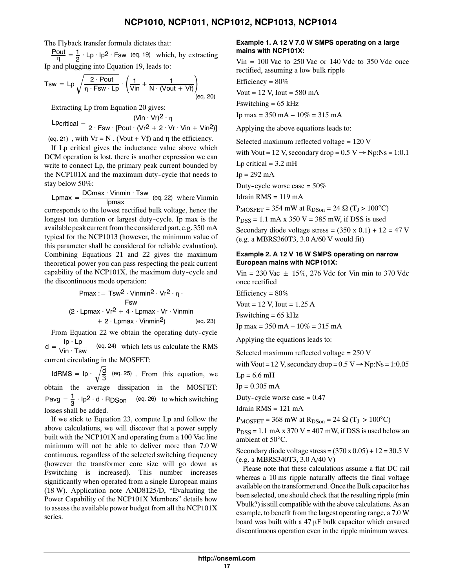The Flyback transfer formula dictates that:

 $\frac{\text{Pout}}{\eta} = \frac{1}{2} \cdot \text{Lp} \cdot \text{lp2} \cdot \text{Fsw}$  (eq. 19) which, by extracting Ip and plugging into Equation 19, leads to:

$$
Tsw = Lp \sqrt{\frac{2 \cdot Pout}{\eta \cdot Fsw \cdot Lp}} \cdot \left(\frac{1}{Vin} + \frac{1}{N \cdot (Vout + Vf)}\right)_{(eq. 20)}
$$

Extracting Lp from Equation 20 gives:

$$
L
$$
Partial = 
$$
\frac{(Vir \cdot Vr)^{2} \cdot \eta}{2 \cdot Fsw \cdot [Pout \cdot (Vr^{2} + 2 \cdot Vr \cdot Vin + Vin^{2})]}
$$

(eq. 21), with  $V = N$ . (Vout + Vf) and  $\eta$  the efficiency.

If Lp critical gives the inductance value above which DCM operation is lost, there is another expression we can write to connect Lp, the primary peak current bounded by the NCP101X and the maximum duty-cycle that needs to stay below 50%:

Lpmax =  $\frac{DCmax \cdot Vinmin \cdot Tsw}{lpmax}$  (eq. 22) where Vinmin

corresponds to the lowest rectified bulk voltage, hence the longest ton duration or largest duty-cycle. Ip max is the available peak current fromthe considered part, e.g. 350 mA typical for the NCP1013 (however, the minimum value of this parameter shall be considered for reliable evaluation). Combining Equations 21 and 22 gives the maximum theoretical power you can pass respecting the peak current capability of the NCP101X, the maximum duty-cycle and the discontinuous mode operation:

| $Pmax := Tsw^2 \cdot Vinmin^2 \cdot Vr^2 \cdot \eta \cdot$        |          |
|-------------------------------------------------------------------|----------|
| $rsw$                                                             | $Fsw$    |
| $(2 \cdot Lpmax \cdot Vr^2 + 4 \cdot Lpmax \cdot Vr \cdot Vinmin$ |          |
| $+ 2 \cdot Lpmax \cdot Vinmin^2$                                  | (eq. 23) |

From Equation 22 we obtain the operating duty-cycle  $d = \frac{lp \cdot lp}{V in \cdot Tsw}$  (eq. 24) which lets us calculate the RMS current circulating in the MOSFET:

IdRMS = Ip  $\cdot \sqrt{\frac{d}{3}}$  (eq. 25). From this equation, we obtain the average dissipation in the MOSFET: Pavg =  $\frac{1}{3} \cdot$  lp<sup>2</sup> · d · RDSon (eq. 26) to which switching losses shall be added.

If we stick to Equation 23, compute Lp and follow the above calculations, we will discover that a power supply built with the NCP101X and operating from a 100 Vac line minimum will not be able to deliver more than 7.0 W continuous, regardless of the selected switching frequency (however the transformer core size will go down as Fswitching is increased). This number increases significantly when operated from a single European mains (18 W). Application note AND8125/D, "Evaluating the Power Capability of the NCP101X Members" details how to assess the available power budget from all the NCP101X series.

### **Example 1. A 12 V 7.0 W SMPS operating on a large mains with NCP101X:**

Vin  $= 100$  Vac to 250 Vac or 140 Vdc to 350 Vdc once rectified, assuming a low bulk ripple

Efficiency = 80%

Vout =  $12$  V, Iout =  $580$  mA

Fswitching  $= 65$  kHz

Ip max =  $350$  mA  $- 10\% = 315$  mA

Applying the above equations leads to:

Selected maximum reflected voltage = 120 V

with Vout = 12 V, secondary drop =  $0.5 \text{ V} \rightarrow \text{Np:Ns} = 1:0.1$ 

Lp critical  $= 3.2$  mH

 $Ip = 292 mA$ 

Duty-cycle worse case  $= 50\%$ 

Idrain RMS = 119 mA

 $P_{MOSFET}$  = 354 mW at  $R_{DSon}$  = 24  $\Omega$  (T<sub>J</sub> > 100<sup>o</sup>C)

 $P<sub>DSS</sub> = 1.1$  mA x 350 V = 385 mW, if DSS is used

Secondary diode voltage stress =  $(350 \times 0.1) + 12 = 47$  V (e.g. a MBRS360T3, 3.0 A/60 V would fit)

### **Example 2. A 12 V 16 W SMPS operating on narrow European mains with NCP101X:**

Vin = 230 Vac  $\pm$  15%, 276 Vdc for Vin min to 370 Vdc once rectified

Efficiency =  $80\%$ 

Vout =  $12$  V, Iout =  $1.25$  A

Fswitching  $= 65$  kHz

Ip max =  $350$  mA  $- 10\%$  =  $315$  mA

Applying the equations leads to:

Selected maximum reflected voltage =  $250 \text{ V}$ 

with Vout = 12 V, secondary drop =  $0.5 \text{ V} \rightarrow \text{Np:Ns} = 1:0.05$ 

 $Lp = 6.6$  mH

 $Ip = 0.305 mA$ 

Duty-cycle worse case  $= 0.47$ 

Idrain  $RMS = 121$  mA

 $P_{MOSFET} = 368$  mW at  $R_{DSon} = 24 \Omega (T_J > 100^{\circ}C)$ 

 $P<sub>DSS</sub> = 1.1$  mA x 370 V = 407 mW, if DSS is used below an ambient of 50°C.

Secondary diode voltage stress =  $(370 \times 0.05) + 12 = 30.5$  V (e.g. a MBRS340T3, 3.0 A/40 V)

Please note that these calculations assume a flat DC rail whereas a 10 ms ripple naturally affects the final voltage available on the transformer end. Once the Bulk capacitor has been selected, one should check that the resulting ripple (min Vbulk?) is still compatible with the above calculations. As an example, to benefit from the largest operating range, a 7.0 W board was built with a  $47 \mu$ F bulk capacitor which ensured discontinuous operation even in the ripple minimum waves.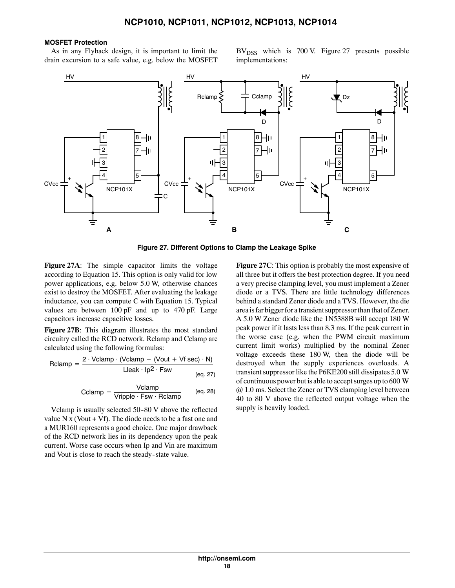### **MOSFET Protection**

As in any Flyback design, it is important to limit the drain excursion to a safe value, e.g. below the MOSFET  $BV<sub>DSS</sub>$  which is 700 V. Figure 27 presents possible implementations:



**Figure 27. Different Options to Clamp the Leakage Spike**

**Figure 27A**: The simple capacitor limits the voltage according to Equation 15. This option is only valid for low power applications, e.g. below 5.0 W, otherwise chances exist to destroy the MOSFET. After evaluating the leakage inductance, you can compute C with Equation 15. Typical values are between 100 pF and up to 470 pF. Large capacitors increase capacitive losses.

**Figure 27B**: This diagram illustrates the most standard circuitry called the RCD network. Rclamp and Cclamp are calculated using the following formulas:

$$
Relamp = \frac{2 \cdot Vclamp \cdot (Vclamp - (Vout + Vf sec) \cdot N)}{Lleak \cdot lp^{2} \cdot Fsw}
$$
\n
$$
\frac{eq. 27}{eq. 27}
$$

$$
Cclamp = \frac{Vclamp}{Vripple \cdot Fsw \cdot Rclamp}
$$
 (eq. 28)

Vclamp is usually selected 50-80 V above the reflected value N x (Vout + Vf). The diode needs to be a fast one and a MUR160 represents a good choice. One major drawback of the RCD network lies in its dependency upon the peak current. Worse case occurs when Ip and Vin are maximum and Vout is close to reach the steady-state value.

**Figure 27C**: This option is probably the most expensive of all three but it offers the best protection degree. If you need a very precise clamping level, you must implement a Zener diode or a TVS. There are little technology differences behind a standard Zener diode and a TVS. However, the die area is far bigger for a transient suppressor than that of Zener. A 5.0 W Zener diode like the 1N5388B will accept 180 W peak power if it lasts less than 8.3 ms. If the peak current in the worse case (e.g. when the PWM circuit maximum current limit works) multiplied by the nominal Zener voltage exceeds these 180 W, then the diode will be destroyed when the supply experiences overloads. A transient suppressor like the P6KE200 still dissipates 5.0 W of continuous power but is able to accept surges up to 600 W @ 1.0 ms. Select the Zener or TVS clamping level between 40 to 80 V above the reflected output voltage when the supply is heavily loaded.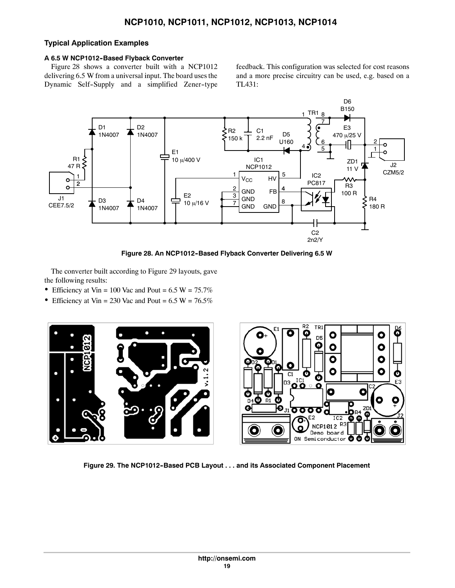## **Typical Application Examples**

### **A 6.5 W NCP1012--Based Flyback Converter**

Figure 28 shows a converter built with a NCP1012 delivering 6.5 W from a universal input. The board uses the Dynamic Self-Supply and a simplified Zener-type feedback. This configuration was selected for cost reasons and a more precise circuitry can be used, e.g. based on a TL431:



Figure 28. An NCP1012-Based Flyback Converter Delivering 6.5 W

The converter built according to Figure 29 layouts, gave the following results:

- Efficiency at Vin = 100 Vac and Pout =  $6.5 W = 75.7\%$
- Efficiency at Vin = 230 Vac and Pout =  $6.5 W = 76.5\%$



Figure 29. The NCP1012-Based PCB Layout . . . and its Associated Component Placement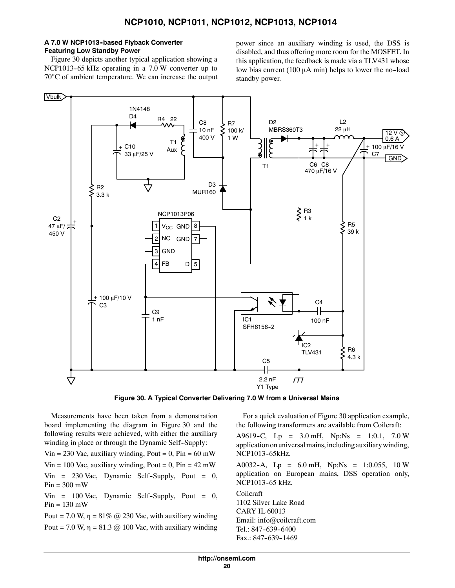### **A 7.0 W NCP1013--based Flyback Converter Featuring Low Standby Power**

Figure 30 depicts another typical application showing a NCP1013-65 kHz operating in a 7.0 W converter up to 70°C of ambient temperature. We can increase the output power since an auxiliary winding is used, the DSS is disabled, and thus offering more room for the MOSFET. In this application, the feedback is made via a TLV431 whose low bias current (100  $\mu$ A min) helps to lower the no-load standby power.



**Figure 30. A Typical Converter Delivering 7.0 W from a Universal Mains**

Measurements have been taken from a demonstration board implementing the diagram in Figure 30 and the following results were achieved, with either the auxiliary winding in place or through the Dynamic Self-Supply:

Vin = 230 Vac, auxiliary winding, Pout =  $0$ , Pin =  $60$  mW

Vin = 100 Vac, auxiliary winding, Pout =  $0$ , Pin =  $42 \text{ mW}$ 

 $V$ in = 230 Vac, Dynamic Self-Supply, Pout = 0,  $Pin = 300$  mW

 $V$ in = 100 Vac, Dynamic Self-Supply, Pout = 0,  $Pin = 130$  mW

Pout = 7.0 W,  $\eta$  = 81% @ 230 Vac, with auxiliary winding Pout = 7.0 W,  $\eta$  = 81.3 @ 100 Vac, with auxiliary winding

For a quick evaluation of Figure 30 application example, the following transformers are available from Coilcraft:

A9619-C, Lp =  $3.0 \text{ mH}$ , Np:Ns =  $1:0.1$ ,  $7.0 \text{ W}$ application on universal mains, including auxiliary winding, NCP1013-65kHz.

A0032-A, Lp =  $6.0$  mH, Np:Ns =  $1:0.055$ , 10 W application on European mains, DSS operation only, NCP1013-65 kHz.

Coilcraft 1102 Silver Lake Road CARY IL 60013 Email: info@coilcraft.com Tel.: 847-639-6400 Fax.: 847-639-1469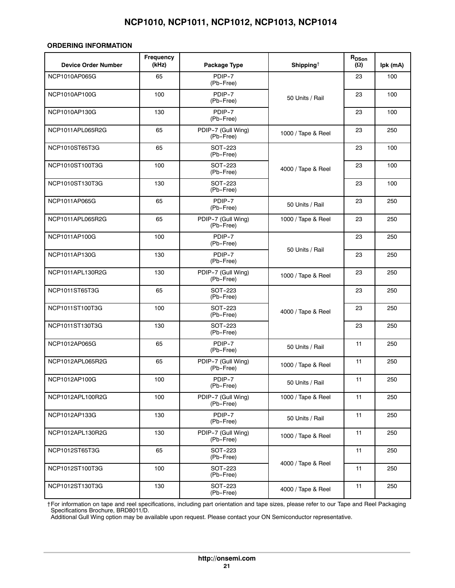### **ORDERING INFORMATION**

| <b>Device Order Number</b> | <b>Frequency</b><br>(kHz) | Package Type                    | Shipping <sup><math>\dagger</math></sup> | R <sub>DSon</sub><br>$(\Omega)$ | lpk (mA) |
|----------------------------|---------------------------|---------------------------------|------------------------------------------|---------------------------------|----------|
| NCP1010AP065G              | 65                        | PDIP-7<br>(Pb-Free)             |                                          | 23                              | 100      |
| NCP1010AP100G              | 100                       | PDIP-7<br>(Pb-Free)             | 50 Units / Rail                          | 23                              | 100      |
| NCP1010AP130G              | 130                       | PDIP-7<br>(Pb-Free)             |                                          | 23                              | 100      |
| NCP1011APL065R2G           | 65                        | PDIP-7 (Gull Wing)<br>(Pb-Free) | 1000 / Tape & Reel                       | 23                              | 250      |
| NCP1010ST65T3G             | 65                        | <b>SOT-223</b><br>(Pb-Free)     |                                          | 23                              | 100      |
| NCP1010ST100T3G            | 100                       | SOT-223<br>(Pb-Free)            | 4000 / Tape & Reel                       | 23                              | 100      |
| NCP1010ST130T3G            | 130                       | SOT-223<br>(Pb-Free)            |                                          | 23                              | 100      |
| NCP1011AP065G              | 65                        | PDIP-7<br>(Pb-Free)             | 50 Units / Rail                          | 23                              | 250      |
| NCP1011APL065R2G           | 65                        | PDIP-7 (Gull Wing)<br>(Pb-Free) | 1000 / Tape & Reel                       | 23                              | 250      |
| NCP1011AP100G              | 100                       | PDIP-7<br>(Pb-Free)             |                                          | 23                              | 250      |
| NCP1011AP130G              | 130                       | PDIP-7<br>(Pb-Free)             | 50 Units / Rail                          | 23                              | 250      |
| NCP1011APL130R2G           | 130                       | PDIP-7 (Gull Wing)<br>(Pb-Free) | 1000 / Tape & Reel                       | 23                              | 250      |
| NCP1011ST65T3G             | 65                        | SOT-223<br>(Pb-Free)            |                                          | 23                              | 250      |
| NCP1011ST100T3G            | 100                       | SOT-223<br>(Pb-Free)            | 4000 / Tape & Reel                       | 23                              | 250      |
| NCP1011ST130T3G            | 130                       | SOT-223<br>(Pb-Free)            |                                          | 23                              | 250      |
| NCP1012AP065G              | 65                        | PDIP-7<br>(Pb-Free)             | 50 Units / Rail                          | 11                              | 250      |
| NCP1012APL065R2G           | 65                        | PDIP-7 (Gull Wing)<br>(Pb-Free) | 1000 / Tape & Reel                       | 11                              | 250      |
| NCP1012AP100G              | 100                       | PDIP-7<br>(Pb-Free)             | 50 Units / Rail                          | 11                              | 250      |
| NCP1012APL100R2G           | 100                       | PDIP-7 (Gull Wing)<br>(Pb-Free) | 1000 / Tape & Reel                       | 11                              | 250      |
| NCP1012AP133G              | 130                       | PDIP-7<br>(Pb-Free)             | 50 Units / Rail                          | 11                              | 250      |
| NCP1012APL130R2G           | 130                       | PDIP-7 (Gull Wing)<br>(Pb-Free) | 1000 / Tape & Reel                       | 11                              | 250      |
| NCP1012ST65T3G             | 65                        | SOT-223<br>(Pb-Free)            |                                          | 11                              | 250      |
| NCP1012ST100T3G            | 100                       | SOT-223<br>(Pb-Free)            | 4000 / Tape & Reel                       | 11                              | 250      |
| NCP1012ST130T3G            | 130                       | SOT-223<br>(Pb-Free)            | 4000 / Tape & Reel                       | 11                              | 250      |

†For information on tape and reel specifications, including part orientation and tape sizes, please refer to our Tape and Reel Packaging Specifications Brochure, BRD8011/D.

Additional Gull Wing option may be available upon request. Please contact your ON Semiconductor representative.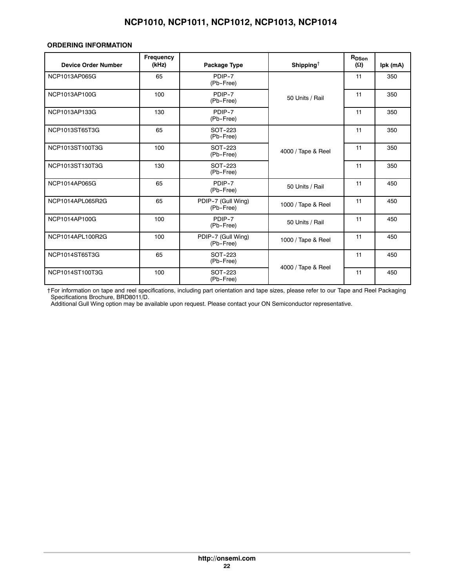### **ORDERING INFORMATION**

| <b>Device Order Number</b> | Frequency<br>(kHz) | Package Type                    | Shipping <sup><math>\dagger</math></sup> | R <sub>DSon</sub><br>$(\Omega)$ | Ipk (mA) |
|----------------------------|--------------------|---------------------------------|------------------------------------------|---------------------------------|----------|
| NCP1013AP065G              | 65                 | PDIP-7<br>(Pb-Free)             |                                          | 11                              | 350      |
| NCP1013AP100G              | 100                | PDIP-7<br>(Pb-Free)             | 50 Units / Rail                          | 11                              | 350      |
| NCP1013AP133G              | 130                | PDIP-7<br>(Pb-Free)             |                                          | 11                              | 350      |
| NCP1013ST65T3G             | 65                 | <b>SOT-223</b><br>(Pb-Free)     |                                          | 11                              | 350      |
| NCP1013ST100T3G            | 100                | SOT-223<br>(Pb-Free)            | 4000 / Tape & Reel                       | 11                              | 350      |
| NCP1013ST130T3G            | 130                | SOT-223<br>(Pb-Free)            |                                          | 11                              | 350      |
| NCP1014AP065G              | 65                 | PDIP-7<br>(Pb-Free)             | 50 Units / Rail                          | 11                              | 450      |
| NCP1014APL065R2G           | 65                 | PDIP-7 (Gull Wing)<br>(Pb-Free) | 1000 / Tape & Reel                       | 11                              | 450      |
| NCP1014AP100G              | 100                | PDIP-7<br>(Pb-Free)             | 50 Units / Rail                          | 11                              | 450      |
| NCP1014APL100R2G           | 100                | PDIP-7 (Gull Wing)<br>(Pb-Free) | 1000 / Tape & Reel                       | 11                              | 450      |
| NCP1014ST65T3G             | 65                 | SOT-223<br>(Pb-Free)            |                                          | 11                              | 450      |
| NCP1014ST100T3G            | 100                | SOT-223<br>(Pb-Free)            | 4000 / Tape & Reel                       | 11                              | 450      |

†For information on tape and reel specifications, including part orientation and tape sizes, please refer to our Tape and Reel Packaging Specifications Brochure, BRD8011/D.

Additional Gull Wing option may be available upon request. Please contact your ON Semiconductor representative.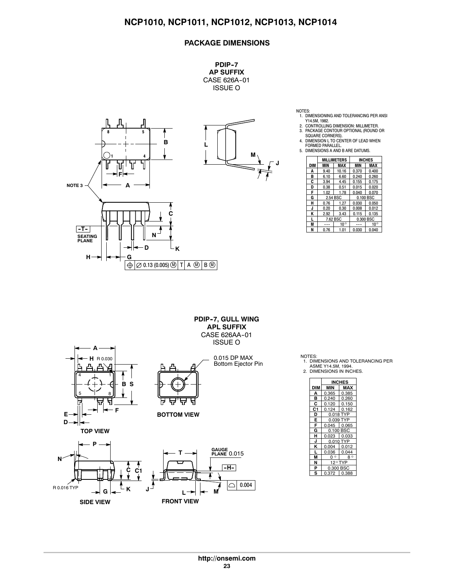### **PACKAGE DIMENSIONS**

**PDIP--7 AP SUFFIX** CASE 626A-01 ISSUE O



**J**

NOTES:<br>1. DIMENSIONING AND TOLERANCING PER ANSI<br>2. CONTROLLING DIMENSION: MILLIMETER.<br>2. CONTROLLING DIMENSION: MILLIMETER.<br>3. PACKAGE CONTOUR OPTIONAL (ROUND OR<br>5QUARE CORNERS).<br>4. DIMENSION L TO CENTER OF LEAD WHEN<br>5. DI

|     |          | MILLIMETERS  |            | <b>INCHES</b> |
|-----|----------|--------------|------------|---------------|
| DIM | MIN      | MAX          | <b>MIN</b> | MAX           |
| A   | 9.40     | 10.16        | 0.370      | 0.400         |
| в   | 6.10     | 6.60         | 0.240      | 0.260         |
| Ć   | 3.94     | 4.45         | 0.155      | 0.175         |
| D   | 0.38     | 0.51         | 0.015      | 0.020         |
| F   | 1.02     | 1.78         | 0.040      | 0.070         |
| G   | 2.54 BSC |              | 0.100 BSC  |               |
| н   | 0.76     | 1.27         | 0.030      | 0.050         |
| J   | 0.20     | 0.30         | 0.008      | 0.012         |
| K   | 2.92     | 3.43         | 0.115      | 0.135         |
|     |          | 7.62 BSC     |            | 0.300 BSC     |
| M   |          | $10^{\circ}$ |            | $10^{\circ}$  |
| N   | 0.76     | 1.01         | 0.030      | 0.040         |

**PDIP--7, GULL WING APL SUFFIX** CASE 626AA-01 ISSUE O







NOTES: 1. DIMENSIONS AND TOLERANCING PER

ASME Y14.5M, 1994. 2. DIMENSIONS IN INCHES.

|     | INCHES                  |           |  |  |  |  |  |
|-----|-------------------------|-----------|--|--|--|--|--|
| DIM | MAX<br>MIN              |           |  |  |  |  |  |
| A   | 0.365                   | 0.385     |  |  |  |  |  |
| в   | 0.240                   | 0.260     |  |  |  |  |  |
| c   | 0.120                   | 0.150     |  |  |  |  |  |
| C1  | 0.124                   | 0.162     |  |  |  |  |  |
| D   |                         | 0.018 TYP |  |  |  |  |  |
| Ē   | 0.039 TYP               |           |  |  |  |  |  |
| F   | 0.045                   | 0.065     |  |  |  |  |  |
| G   |                         | 0.100 BSC |  |  |  |  |  |
| н   | 0.023                   | 0.033     |  |  |  |  |  |
| J   | 0.010                   | TYP       |  |  |  |  |  |
| ĸ   | 0.004                   | 0.012     |  |  |  |  |  |
|     | 0.036                   | 0.044     |  |  |  |  |  |
| м   | o o                     | 80        |  |  |  |  |  |
| N   | 12° <sup>-</sup><br>TYP |           |  |  |  |  |  |
| P   | 0.300 BSC               |           |  |  |  |  |  |
| s   | 0.372                   | 0.388     |  |  |  |  |  |